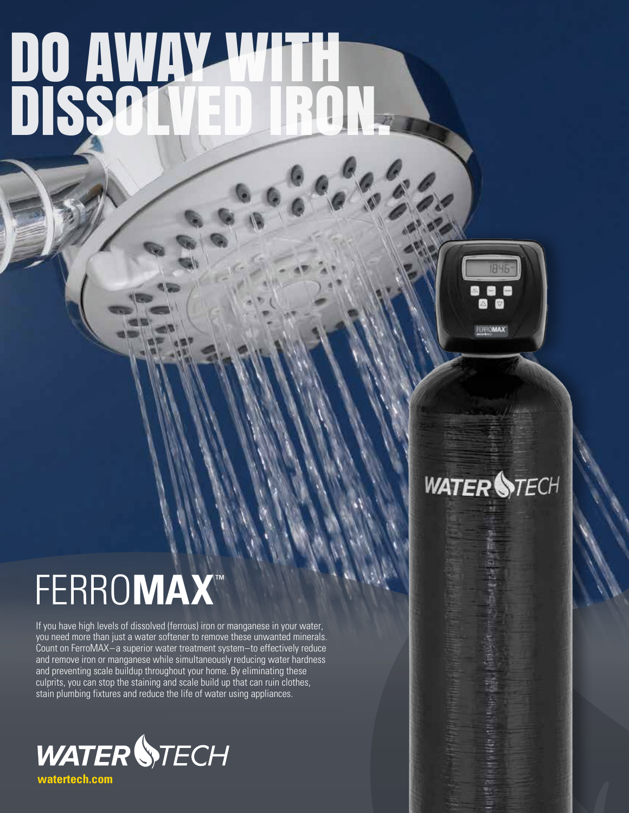# DO AWAY WITH DISSOLVED IRON.



## **WATER STECH**

## FERRO**MAX** ™

If you have high levels of dissolved (ferrous) iron or manganese in your water, you need more than just a water softener to remove these unwanted minerals. Count on FerroMAX – a superior water treatment system–to effectively reduce and remove iron or manganese while simultaneously reducing water hardness and preventing scale buildup throughout your home. By eliminating these culprits, you can stop the staining and scale build up that can ruin clothes, stain plumbing fixtures and reduce the life of water using appliances.



**watertech.com**